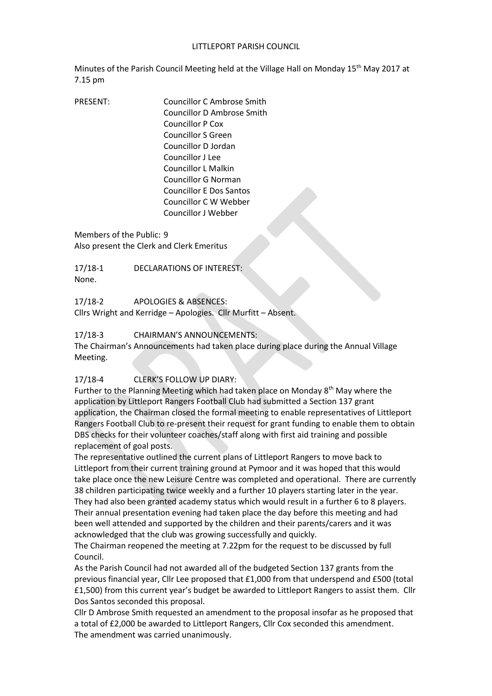#### LITTLEPORT PARISH COUNCIL

Minutes of the Parish Council Meeting held at the Village Hall on Monday 15<sup>th</sup> May 2017 at 7.15 pm

PRESENT: Councillor C Ambrose Smith Councillor D Ambrose Smith Councillor P Cox Councillor S Green Councillor D Jordan Councillor J Lee Councillor L Malkin Councillor G Norman Councillor E Dos Santos Councillor C W Webber Councillor J Webber

Members of the Public: 9 Also present the Clerk and Clerk Emeritus

17/18-1 DECLARATIONS OF INTEREST: None.

17/18-2 APOLOGIES & ABSENCES: Cllrs Wright and Kerridge – Apologies. Cllr Murfitt – Absent.

17/18-3 CHAIRMAN'S ANNOUNCEMENTS:

The Chairman's Announcements had taken place during place during the Annual Village Meeting.

### 17/18-4 CLERK'S FOLLOW UP DIARY:

Further to the Planning Meeting which had taken place on Monday  $8<sup>th</sup>$  May where the application by Littleport Rangers Football Club had submitted a Section 137 grant application, the Chairman closed the formal meeting to enable representatives of Littleport Rangers Football Club to re-present their request for grant funding to enable them to obtain DBS checks for their volunteer coaches/staff along with first aid training and possible replacement of goal posts.

The representative outlined the current plans of Littleport Rangers to move back to Littleport from their current training ground at Pymoor and it was hoped that this would take place once the new Leisure Centre was completed and operational. There are currently 38 children participating twice weekly and a further 10 players starting later in the year. They had also been granted academy status which would result in a further 6 to 8 players. Their annual presentation evening had taken place the day before this meeting and had been well attended and supported by the children and their parents/carers and it was acknowledged that the club was growing successfully and quickly.

The Chairman reopened the meeting at 7.22pm for the request to be discussed by full Council.

As the Parish Council had not awarded all of the budgeted Section 137 grants from the previous financial year, Cllr Lee proposed that £1,000 from that underspend and £500 (total £1,500) from this current year's budget be awarded to Littleport Rangers to assist them. Cllr Dos Santos seconded this proposal.

Cllr D Ambrose Smith requested an amendment to the proposal insofar as he proposed that a total of £2,000 be awarded to Littleport Rangers, Cllr Cox seconded this amendment. The amendment was carried unanimously.